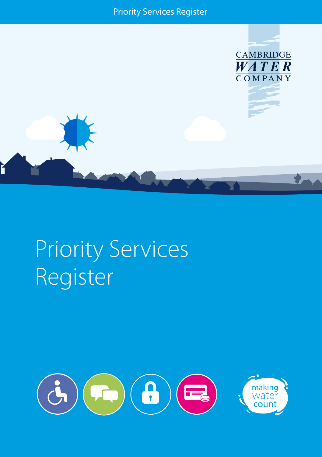



# Priority Services Register

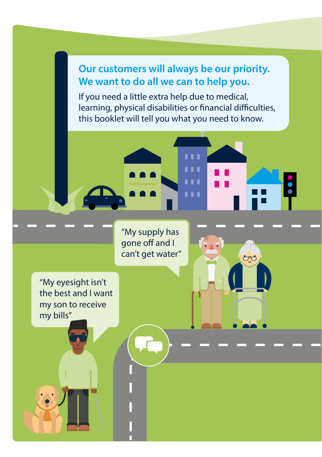## **Our customers will always be our priority. We want to do all we can to help you.**

If you need a little extra help due to medical, learning, physical disabilities or financial difficulties, this booklet will tell you what you need to know.



8

"My supply has gone off and I can't get water"

"My eyesight isn't the best and I want my son to receive my bills"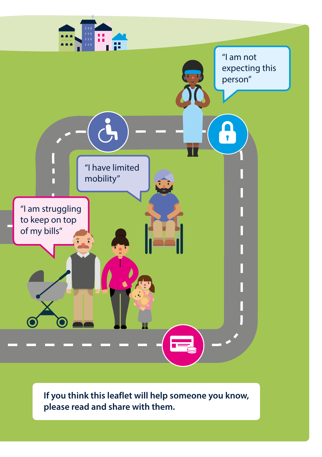

**If you think this leaflet will help someone you know, please read and share with them.**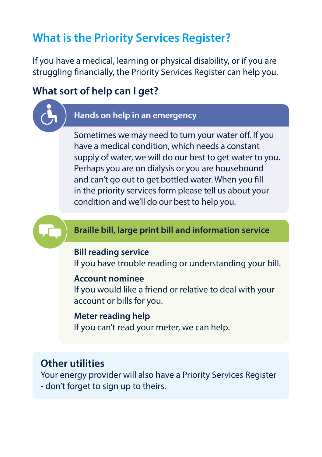## **What is the Priority Services Register?**

If you have a medical, learning or physical disability, or if you are struggling financially, the Priority Services Register can help you.

#### **What sort of help can I get?**

#### **Hands on help in an emergency**

Sometimes we may need to turn your water off. If you have a medical condition, which needs a constant supply of water, we will do our best to get water to you. Perhaps you are on dialysis or you are housebound and can't go out to get bottled water. When you fill in the priority services form please tell us about your condition and we'll do our best to help you.

#### **Braille bill, large print bill and information service**

#### **Bill reading service**

If you have trouble reading or understanding your bill.

#### **Account nominee**

If you would like a friend or relative to deal with your account or bills for you.

#### **Meter reading help**

If you can't read your meter, we can help.

#### **Other utilities**

Your energy provider will also have a Priority Services Register - don't forget to sign up to theirs.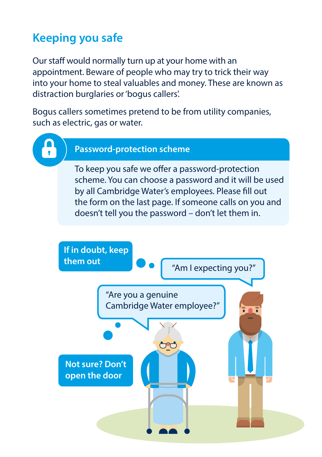## **Keeping you safe**

Our staff would normally turn up at your home with an appointment. Beware of people who may try to trick their way into your home to steal valuables and money. These are known as distraction burglaries or 'bogus callers'.

Bogus callers sometimes pretend to be from utility companies, such as electric, gas or water.

#### **Password-protection scheme**

To keep you safe we offer a password-protection scheme. You can choose a password and it will be used by all Cambridge Water's employees. Please fill out the form on the last page. If someone calls on you and doesn't tell you the password – don't let them in.

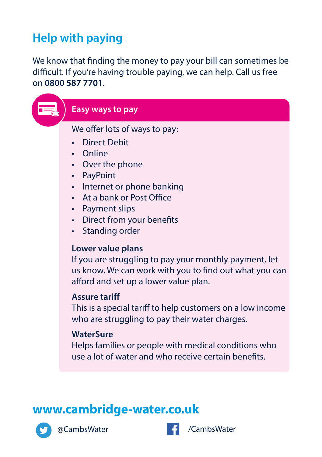## **Help with paying**

We know that finding the money to pay your bill can sometimes be difficult. If you're having trouble paying, we can help. Call us free on **0800 587 7701**.

| Easy ways to pay                                                                                                                                                                                                                                                   |
|--------------------------------------------------------------------------------------------------------------------------------------------------------------------------------------------------------------------------------------------------------------------|
| We offer lots of ways to pay:<br><b>Direct Debit</b><br>Online<br>Over the phone<br>PayPoint<br>$\bullet$<br>• Internet or phone banking<br>At a bank or Post Office<br>$\bullet$<br>• Payment slips<br>• Direct from your benefits<br>Standing order<br>$\bullet$ |
| Lower value plans<br>If you are struggling to pay your monthly payment, let<br>us know. We can work with you to find out what you can<br>afford and set up a lower value plan.                                                                                     |
| <b>Assure tariff</b><br>This is a special tariff to help customers on a low income<br>who are struggling to pay their water charges.                                                                                                                               |
| <b>WaterSure</b><br>Helps families or people with medical conditions who<br>use a lot of water and who receive certain benefits.                                                                                                                                   |
|                                                                                                                                                                                                                                                                    |
| www.cambridge-water.co.uk                                                                                                                                                                                                                                          |
| /CambsWater<br>@CambsWater                                                                                                                                                                                                                                         |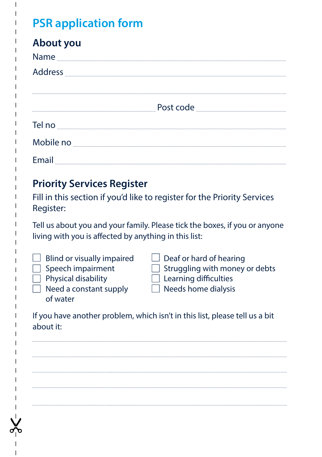## **PSR application form**

## **About you**

| Name           |           |
|----------------|-----------|
| <b>Address</b> |           |
|                |           |
|                |           |
|                | Post code |
| Tel no         |           |
| Mobile no      |           |
| Email          |           |

## **Priority Services Register**

Fill in this section if you'd like to register for the Priority Services Register:

Tell us about you and your family. Please tick the boxes, if you or anyone living with you is affected by anything in this list:

- 
- 
- 
- $\Box$  Need a constant supply  $\Box$  Needs home dialysis of water
- $\Box$  Blind or visually impaired  $\Box$  Deaf or hard of hearing  $\Box$  Speech impairment  $\Box$  Struggling with money  $\Box$  Struggling with money or debts  $\Box$  Physical disability  $\Box$  Learning difficulties
	-

If you have another problem, which isn't in this list, please tell us a bit about it: